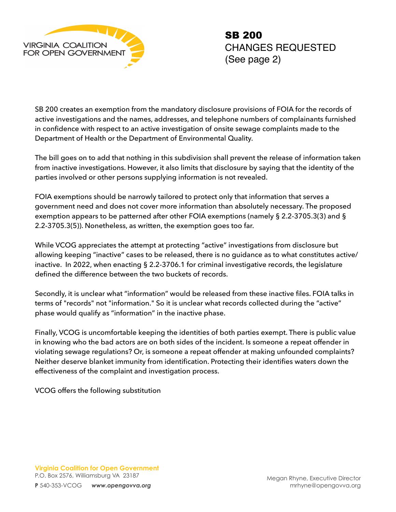

SB 200 creates an exemption from the mandatory disclosure provisions of FOIA for the records of active investigations and the names, addresses, and telephone numbers of complainants furnished in confidence with respect to an active investigation of onsite sewage complaints made to the Department of Health or the Department of Environmental Quality.

The bill goes on to add that nothing in this subdivision shall prevent the release of information taken from inactive investigations. However, it also limits that disclosure by saying that the identity of the parties involved or other persons supplying information is not revealed.

FOIA exemptions should be narrowly tailored to protect only that information that serves a government need and does not cover more information than absolutely necessary. The proposed exemption appears to be patterned after other FOIA exemptions (namely § 2.2-3705.3(3) and § 2.2-3705.3(5)). Nonetheless, as written, the exemption goes too far.

While VCOG appreciates the attempt at protecting "active" investigations from disclosure but allowing keeping "inactive" cases to be released, there is no guidance as to what constitutes active/ inactive. In 2022, when enacting § 2.2-3706.1 for criminal investigative records, the legislature defined the difference between the two buckets of records.

Secondly, it is unclear what "information" would be released from these inactive files. FOIA talks in terms of "records" not "information." So it is unclear what records collected during the "active" phase would qualify as "information" in the inactive phase.

Finally, VCOG is uncomfortable keeping the identities of both parties exempt. There is public value in knowing who the bad actors are on both sides of the incident. Is someone a repeat offender in violating sewage regulations? Or, is someone a repeat offender at making unfounded complaints? Neither deserve blanket immunity from identification. Protecting their identifies waters down the effectiveness of the complaint and investigation process.

VCOG offers the following substitution